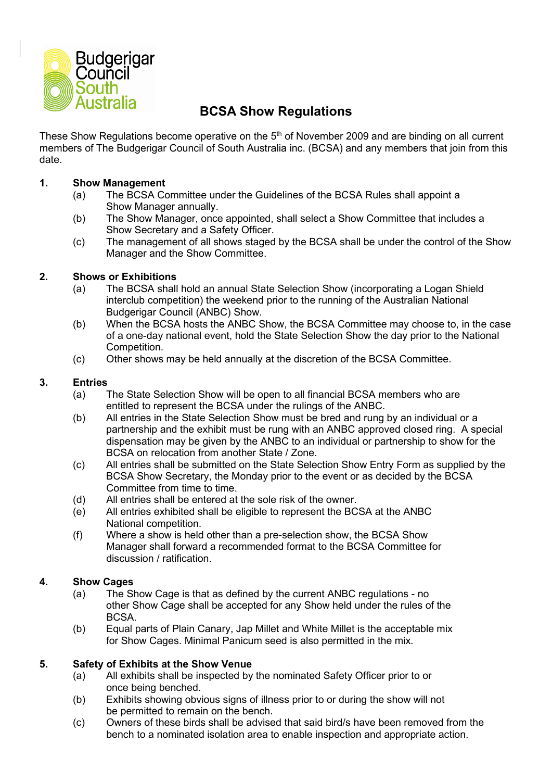

# **BCSA Show Regulations**

These Show Regulations become operative on the 5<sup>th</sup> of November 2009 and are binding on all current members of The Budgerigar Council of South Australia inc. (BCSA) and any members that join from this date.

# **1. Show Management**

- (a) The BCSA Committee under the Guidelines of the BCSA Rules shall appoint a Show Manager annually.
- (b) The Show Manager, once appointed, shall select a Show Committee that includes a Show Secretary and a Safety Officer.
- (c) The management of all shows staged by the BCSA shall be under the control of the Show Manager and the Show Committee.

## **2. Shows or Exhibitions**

- (a) The BCSA shall hold an annual State Selection Show (incorporating a Logan Shield interclub competition) the weekend prior to the running of the Australian National Budgerigar Council (ANBC) Show.
- (b) When the BCSA hosts the ANBC Show, the BCSA Committee may choose to, in the case of a one-day national event, hold the State Selection Show the day prior to the National Competition.
- (c) Other shows may be held annually at the discretion of the BCSA Committee.

## **3. Entries**

- (a) The State Selection Show will be open to all financial BCSA members who are entitled to represent the BCSA under the rulings of the ANBC.
- (b) All entries in the State Selection Show must be bred and rung by an individual or a partnership and the exhibit must be rung with an ANBC approved closed ring. A special dispensation may be given by the ANBC to an individual or partnership to show for the BCSA on relocation from another State / Zone.
- (c) All entries shall be submitted on the State Selection Show Entry Form as supplied by the BCSA Show Secretary, the Monday prior to the event or as decided by the BCSA Committee from time to time.
- (d) All entries shall be entered at the sole risk of the owner.
- (e) All entries exhibited shall be eligible to represent the BCSA at the ANBC National competition.
- (f) Where a show is held other than a pre-selection show, the BCSA Show Manager shall forward a recommended format to the BCSA Committee for discussion / ratification.

# **4. Show Cages**

- (a) The Show Cage is that as defined by the current ANBC regulations no other Show Cage shall be accepted for any Show held under the rules of the BCSA.
- (b) Equal parts of Plain Canary, Jap Millet and White Millet is the acceptable mix for Show Cages. Minimal Panicum seed is also permitted in the mix.

# **5. Safety of Exhibits at the Show Venue**

- (a) All exhibits shall be inspected by the nominated Safety Officer prior to or once being benched.
- (b) Exhibits showing obvious signs of illness prior to or during the show will not be permitted to remain on the bench.
- (c) Owners of these birds shall be advised that said bird/s have been removed from the bench to a nominated isolation area to enable inspection and appropriate action.